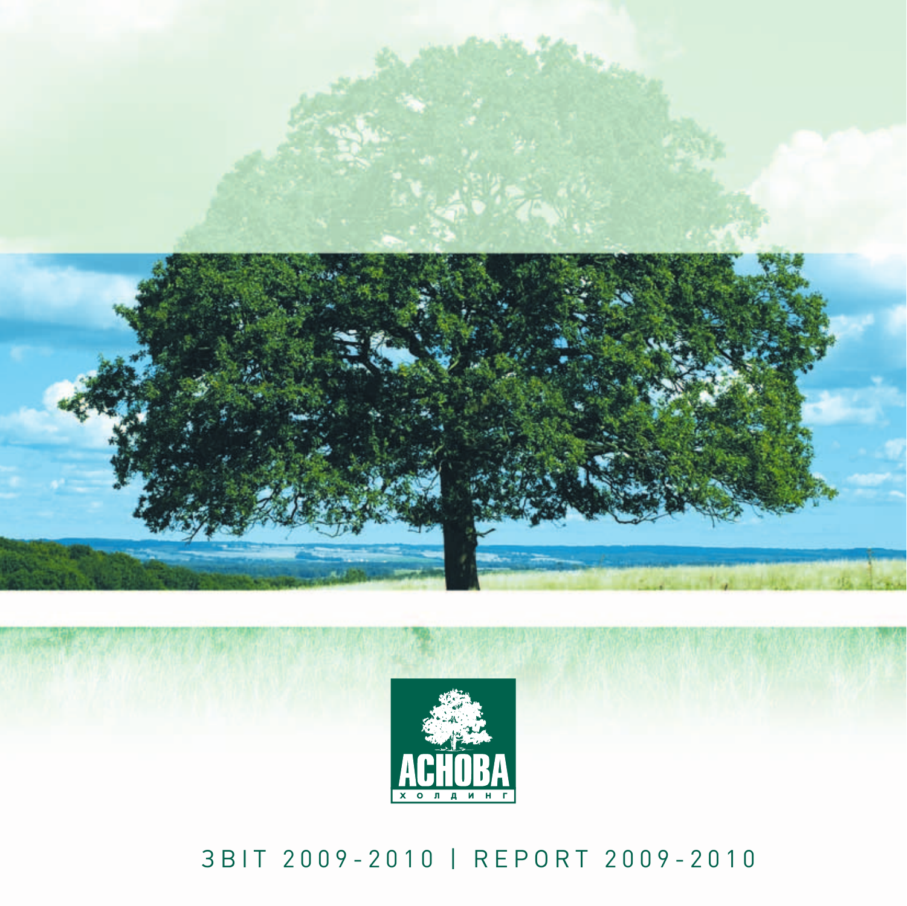



ЗВІТ 2009-2010 | REPORT 2009-2010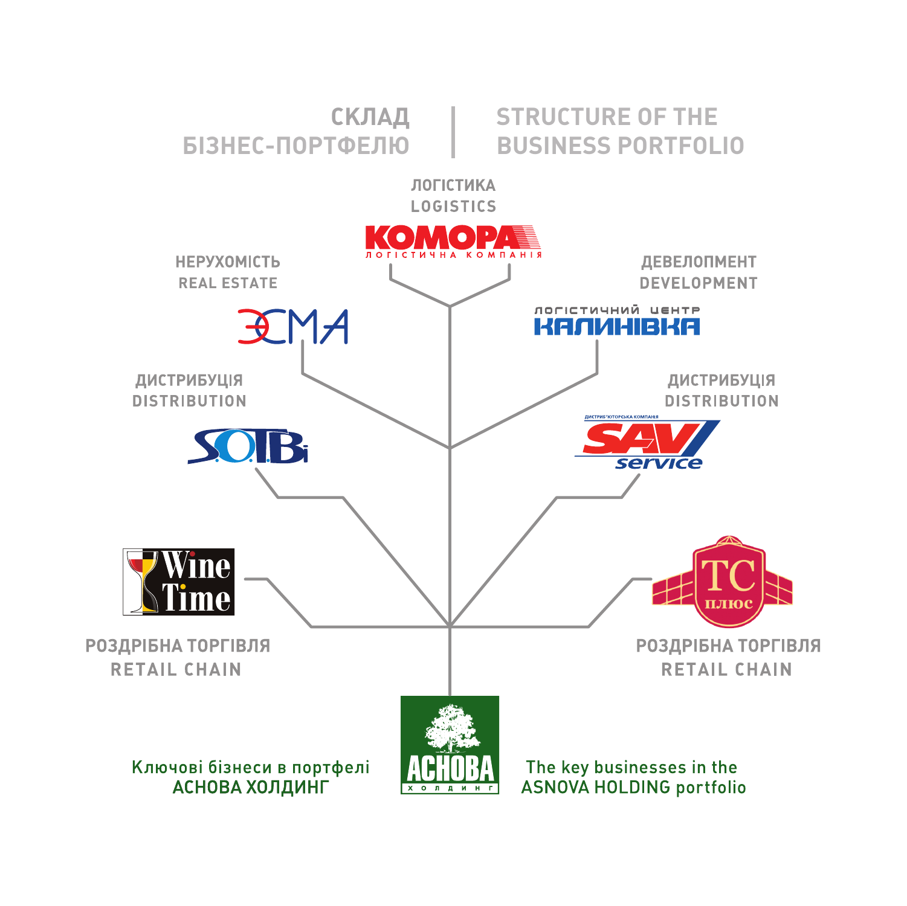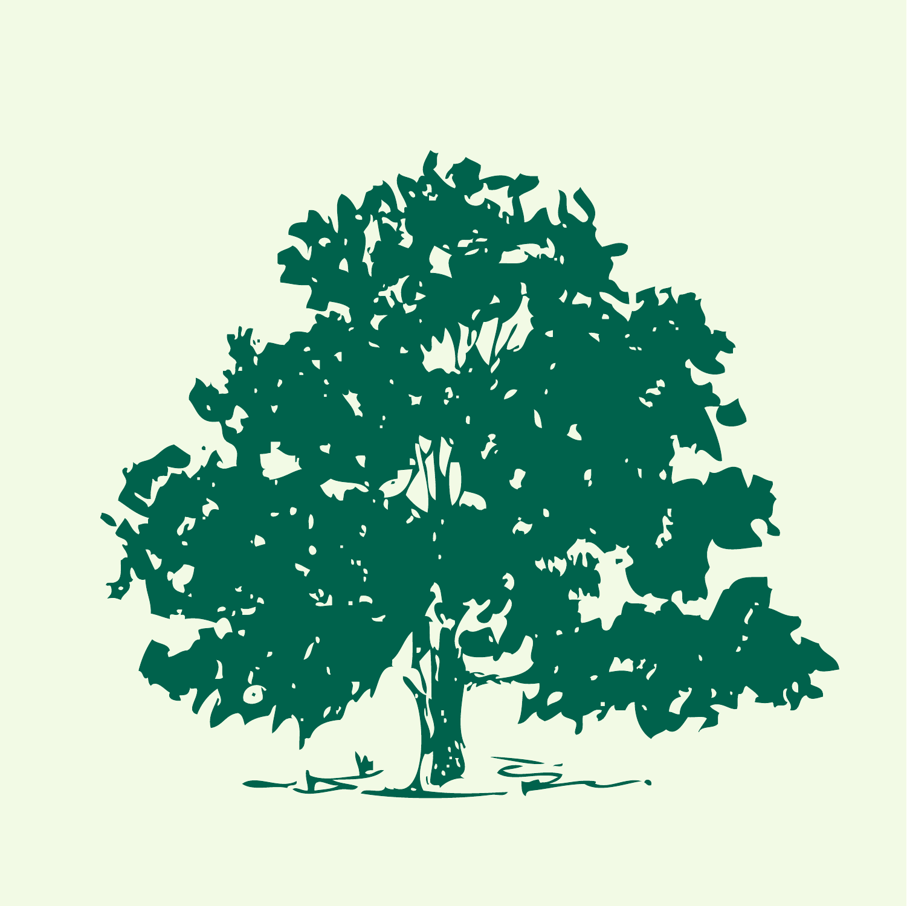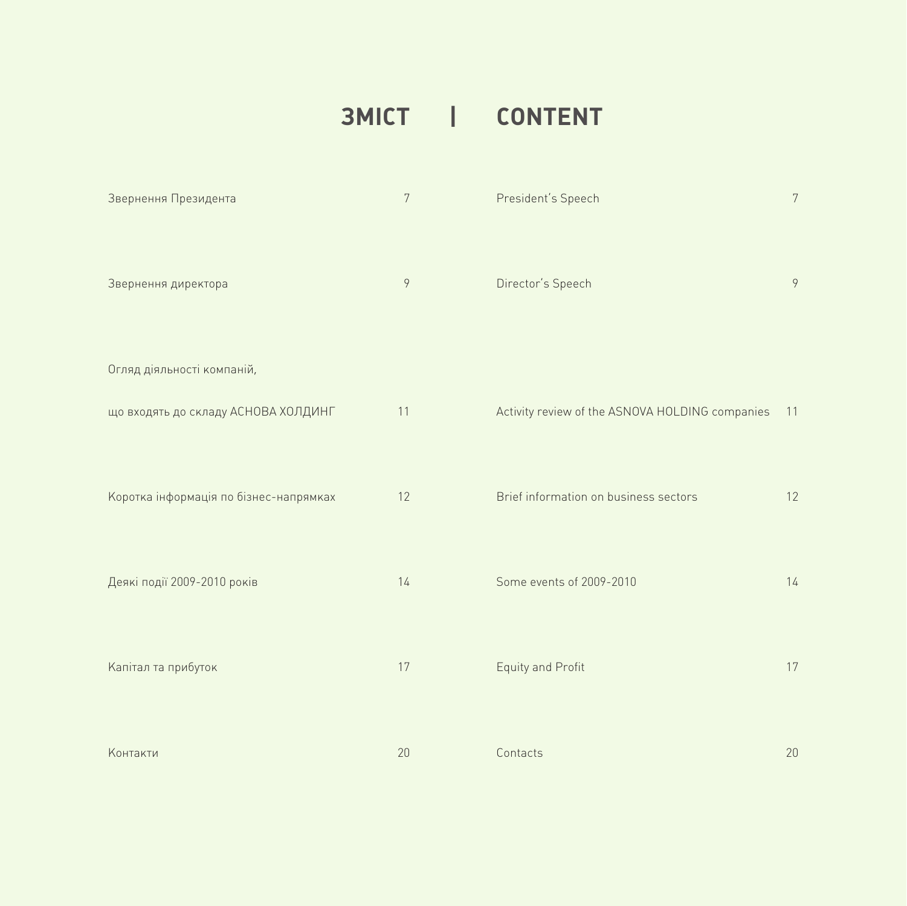## **| ЗМІСТ CONTENT**

| Звернення Президента                   | $\sqrt{ }$ | President's Speech                              | $\sqrt{ }$ |
|----------------------------------------|------------|-------------------------------------------------|------------|
| Звернення директора                    | $\circ$    | Director's Speech                               | 9          |
| Огляд діяльності компаній,             |            |                                                 |            |
| що входять до складу АСНОВА ХОЛДИНГ    | $11$       | Activity review of the ASNOVA HOLDING companies | 11         |
| Коротка інформація по бізнес-напрямках | 12         | Brief information on business sectors           | 12         |
| Деякі події 2009-2010 років            | 14         | Some events of 2009-2010                        | 14         |
| Капітал та прибуток                    | $17\,$     | Equity and Profit                               | 17         |
| Контакти                               | 20         | Contacts                                        | 20         |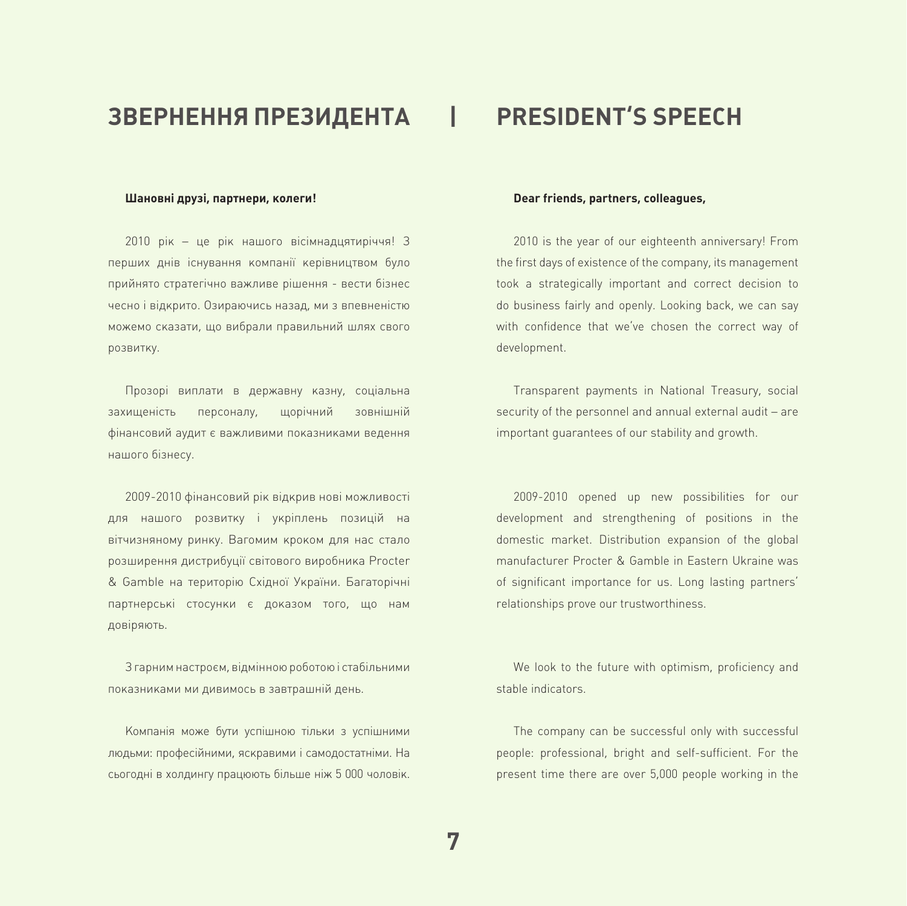### **| ЗВЕРНЕННЯ ПРЕЗИДЕНТА PRESIDENT'S SPEECH**

### **Шановні друзі, партнери, колеги!**

2010 рік – це рік нашого вісімнадцятиріччя! З перших днів існування компанії керівництвом було прийнято стратегічно важливе рішення - вести бізнес чесно і відкрито. Озираючись назад, ми з впевненістю можемо сказати, що вибрали правильний шлях свого розвитку.

Прозорі виплати в державну казну, соціальна захищеність персоналу, щорічний зовнішній фінансовий аудит є важливими показниками ведення нашого бізнесу.

2009-2010 фінансовий рік відкрив нові можливості для нашого розвитку і укріплень позицій на вітчизняному ринку. Вагомим кроком для нас стало розширення дистрибуції світового виробника Procter & Gamble на територію Східної України. Багаторічні партнерські стосунки є доказом того, що нам довіряють.

З гарним настроєм, відмінною роботою і стабільними показниками ми дивимось в завтрашній день.

Компанія може бути успішною тільки з успішними людьми: професійними, яскравими і самодостатніми. На сьогодні в холдингу працюють більше ніж 5 000 чоловік.

### **Dear friends, partners, colleagues,**

2010 is the year of our eighteenth anniversary! From the first days of existence of the company, its management took a strategically important and correct decision to do business fairly and openly. Looking back, we can say with confidence that we've chosen the correct way of development.

Transparent payments in National Treasury, social security of the personnel and annual external audit – are important guarantees of our stability and growth.

2009-2010 opened up new possibilities for our development and strengthening of positions in the domestic market. Distribution expansion of the global manufacturer Procter & Gamble in Eastern Ukraine was of significant importance for us. Long lasting partners' relationships prove our trustworthiness.

We look to the future with optimism, proficiency and stable indicators.

The company can be successful only with successful people: professional, bright and self-sufficient. For the present time there are over 5,000 people working in the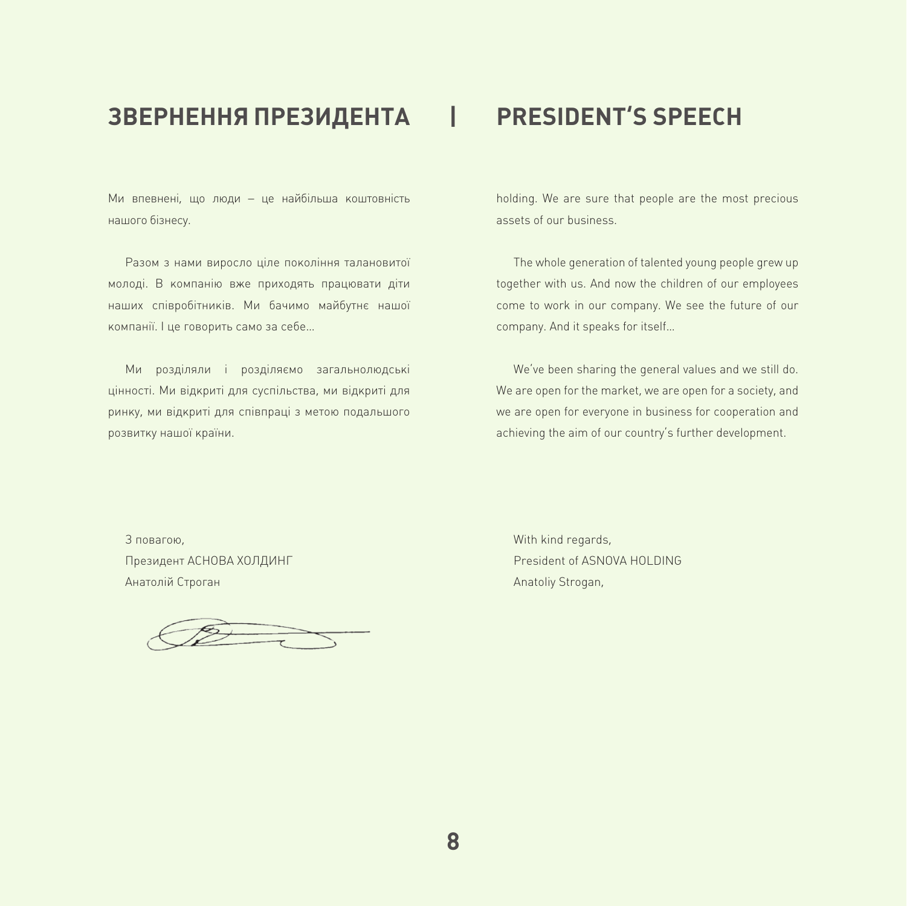## **| ЗВЕРНЕННЯ ПРЕЗИДЕНТА PRESIDENT'S SPEECH**

Ми впевнені, що люди – це найбільша коштовність нашого бізнесу.

Разом з нами виросло ціле покоління талановитої молоді. В компанію вже приходять працювати діти наших співробітників. Ми бачимо майбутнє нашої компанії. І це говорить само за себе…

Ми розділяли і розділяємо загальнолюдські цінності. Ми відкриті для суспільства, ми відкриті для ринку, ми відкриті для співпраці з метою подальшого розвитку нашої країни.

holding. We are sure that people are the most precious assets of our business.

The whole generation of talented young people grew up together with us. And now the children of our employees come to work in our company. We see the future of our company. And it speaks for itself…

We've been sharing the general values and we still do. We are open for the market, we are open for a society, and we are open for everyone in business for cooperation and achieving the aim of our country's further development.

З повагою, Президент АСНОВА ХОЛДИНГ Анатолій Строган

 $\overline{\mathcal{L}}$ 

With kind regards, President of ASNOVA HOLDING Anatoliy Strogan,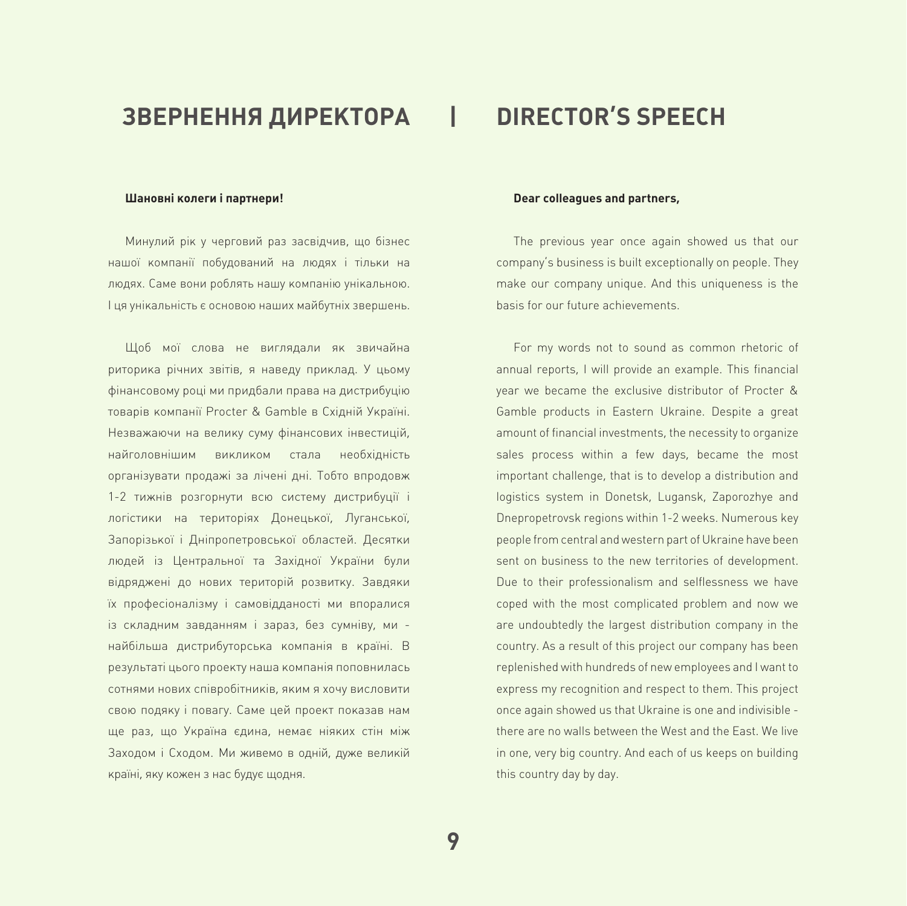### **| ЗВЕРНЕННЯ ДИРЕКТОРА DIRECTOR'S SPEECH**

### **Шановні колеги і партнери!**

Минулий рік у черговий раз засвідчив, що бізнес нашої компанії побудований на людях і тільки на людях. Саме вони роблять нашу компанію унікальною. І ця унікальність є основою наших майбутніх звершень.

Щоб мої слова не виглядали як звичайна риторика річних звітів, я наведу приклад. У цьому фінансовому році ми придбали права на дистрибуцію товарів компанії Procter & Gamble в Східній Україні. Незважаючи на велику суму фінансових інвестицій, найголовнішим викликом стала необхідність організувати продажі за лічені дні. Тобто впродовж 1-2 тижнів розгорнути всю систему дистрибуції і логістики на територіях Донецької, Луганської, Запорізької і Дніпропетровської областей. Десятки людей із Центральної та Західної України були відряджені до нових територій розвитку. Завдяки їх професіоналізму і самовідданості ми впоралися із складним завданням і зараз, без сумніву, ми найбільша дистрибуторська компанія в країні. В результаті цього проекту наша компанія поповнилась сотнями нових співробітників, яким я хочу висловити свою подяку і повагу. Саме цей проект показав нам ще раз, що Україна єдина, немає ніяких стін між Заходом і Сходом. Ми живемо в одній, дуже великій країні, яку кожен з нас будує щодня.

### **Dear colleagues and partners,**

The previous year once again showed us that our company's business is built exceptionally on people. They make our company unique. And this uniqueness is the basis for our future achievements.

For my words not to sound as common rhetoric of annual reports, I will provide an example. This financial year we became the exclusive distributor of Procter & Gamble products in Eastern Ukraine. Despite a great amount of financial investments, the necessity to organize sales process within a few days, became the most important challenge, that is to develop a distribution and logistics system in Donetsk, Lugansk, Zaporozhye and Dnepropetrovsk regions within 1-2 weeks. Numerous key people from central and western part of Ukraine have been sent on business to the new territories of development. Due to their professionalism and selflessness we have coped with the most complicated problem and now we are undoubtedly the largest distribution company in the country. As a result of this project our company has been replenished with hundreds of new employees and I want to express my recognition and respect to them. This project once again showed us that Ukraine is one and indivisible there are no walls between the West and the East. We live in one, very big country. And each of us keeps on building this country day by day.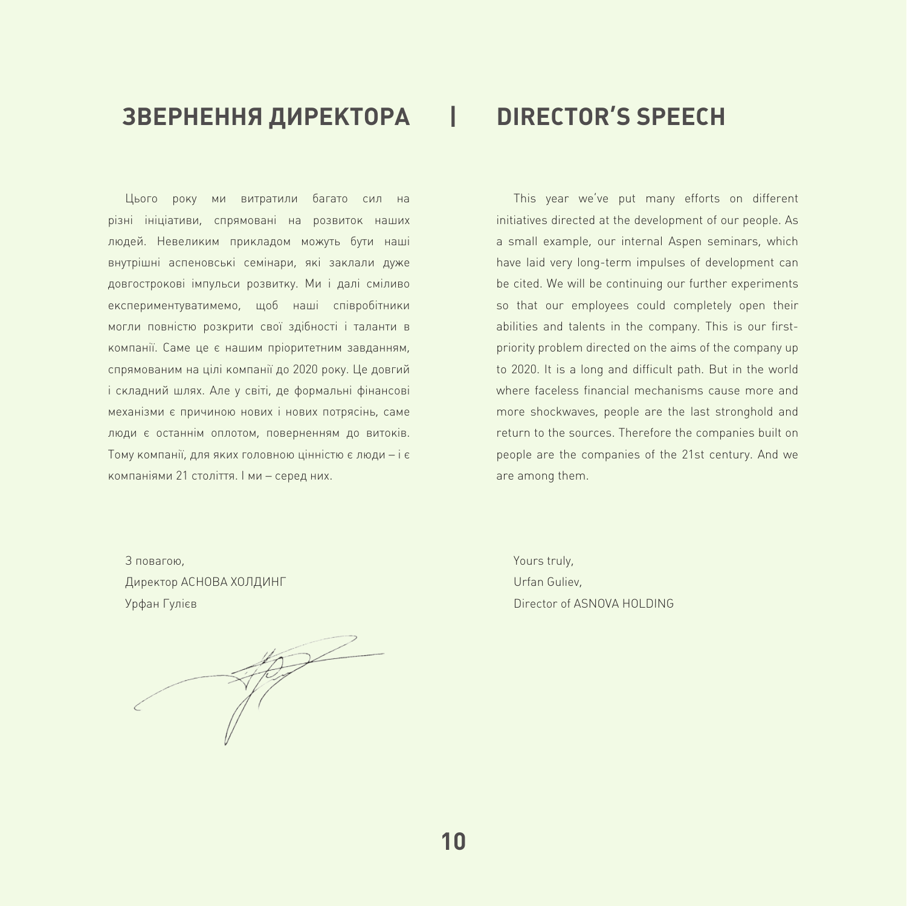## **| ЗВЕРНЕННЯ ДИРЕКТОРА DIRECTOR'S SPEECH**

Цього року ми витратили багато сил на різні ініціативи, спрямовані на розвиток наших людей. Невеликим прикладом можуть бути наші внутрішні аспеновські семінари, які заклали дуже довгострокові імпульси розвитку. Ми і далі сміливо експериментуватимемо, щоб наші співробітники могли повністю розкрити свої здібності і таланти в компанії. Саме це є нашим пріоритетним завданням, спрямованим на цілі компанії до 2020 року. Це довгий і складний шлях. Але у світі, де формальні фінансові механізми є причиною нових і нових потрясінь, саме люди є останнім оплотом, поверненням до витоків. Тому компанії, для яких головною цінністю є люди – і є компаніями 21 століття. І ми – серед них.

This year we've put many efforts on different initiatives directed at the development of our people. As a small example, our internal Aspen seminars, which have laid very long-term impulses of development can be cited. We will be continuing our further experiments so that our employees could completely open their abilities and talents in the company. This is our firstpriority problem directed on the aims of the company up to 2020. It is a long and difficult path. But in the world where faceless financial mechanisms cause more and more shockwaves, people are the last stronghold and return to the sources. Therefore the companies built on people are the companies of the 21st century. And we are among them.

З повагою, Директор АСНОВА ХОЛДИНГ Урфан Гулієв

Yours truly, Urfan Guliev, Director of ASNOVA HOLDING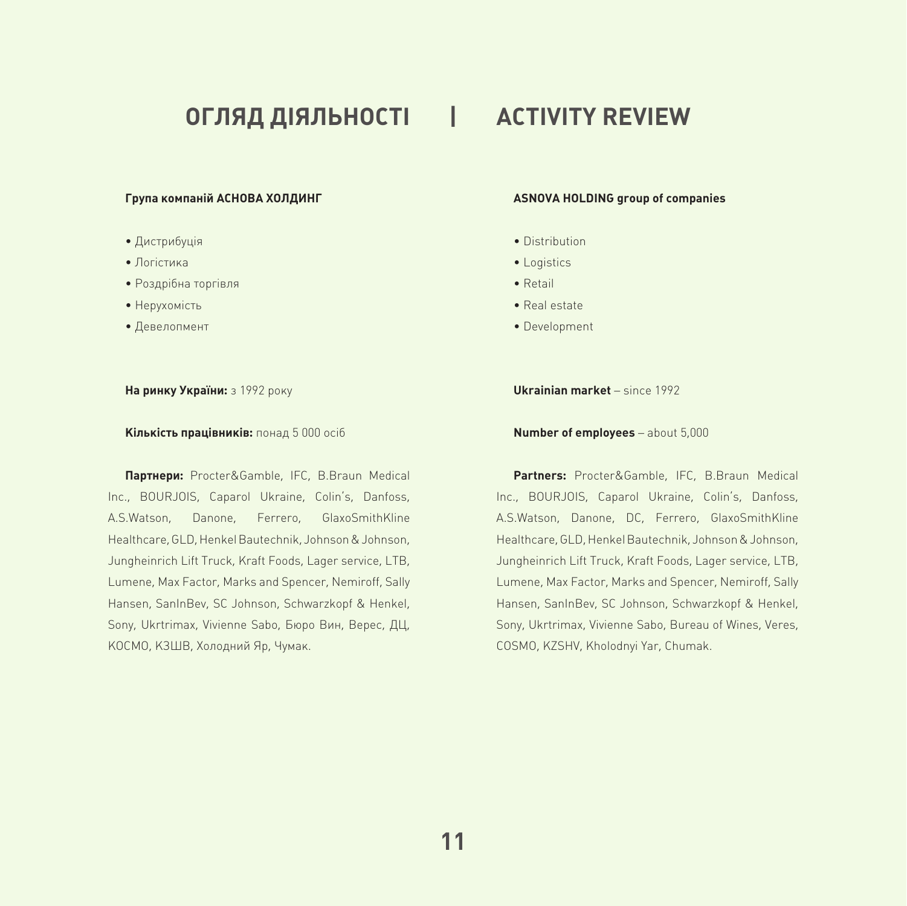## **| ОГЛЯД ДІЯЛЬНОСТІ ACTIVITY REVIEW**

### **Група компаній АСНОВА ХОЛДИНГ**

- Дистрибуція
- Логістика
- Роздрібна торгівля
- Нерухомість
- Девелопмент

## **На ринку України:** з 1992 року

### **Кількість працівників:** понад 5 000 осіб

**Партнери:** Procter&Gamble, IFC, B.Braun Medical Inc., BOURJOIS, Caparol Ukraine, Colin's, Danfoss, A.S.Watson, Danone, Ferrero, GlaxoSmithKline Healthcare, GLD, Henkel Bautechnik, Johnson & Johnson, Jungheinrich Lift Truck, Kraft Foods, Lager service, LTB, Lumene, Max Factor, Marks and Spencer, Nemiroff, Sally Hansen, SanInBev, SC Johnson, Schwarzkopf & Henkel, Sony, Ukrtrimax, Vivienne Sabo, Бюро Вин, Верес, ДЦ, КОСМО, КЗШВ, Холодний Яр, Чумак.

### **ASNOVA HOLDING group of companies**

- Distribution
- Logistics
- Retail
- Real estate
- Development

## **Ukrainian market** – since 1992

## **Number of employees** – about 5,000

**Partners:** Procter&Gamble, IFC, B.Braun Medical Inc., BOURJOIS, Caparol Ukraine, Colin's, Danfoss, A.S.Watson, Danone, DC, Ferrero, GlaxoSmithKline Healthcare, GLD, Henkel Bautechnik, Johnson & Johnson, Jungheinrich Lift Truck, Kraft Foods, Lager service, LTB, Lumene, Max Factor, Marks and Spencer, Nemiroff, Sally Hansen, SanInBev, SC Johnson, Schwarzkopf & Henkel, Sony, Ukrtrimax, Vivienne Sabo, Bureau of Wines, Veres, COSMO, KZSHV, Kholodnyi Yar, Chumak.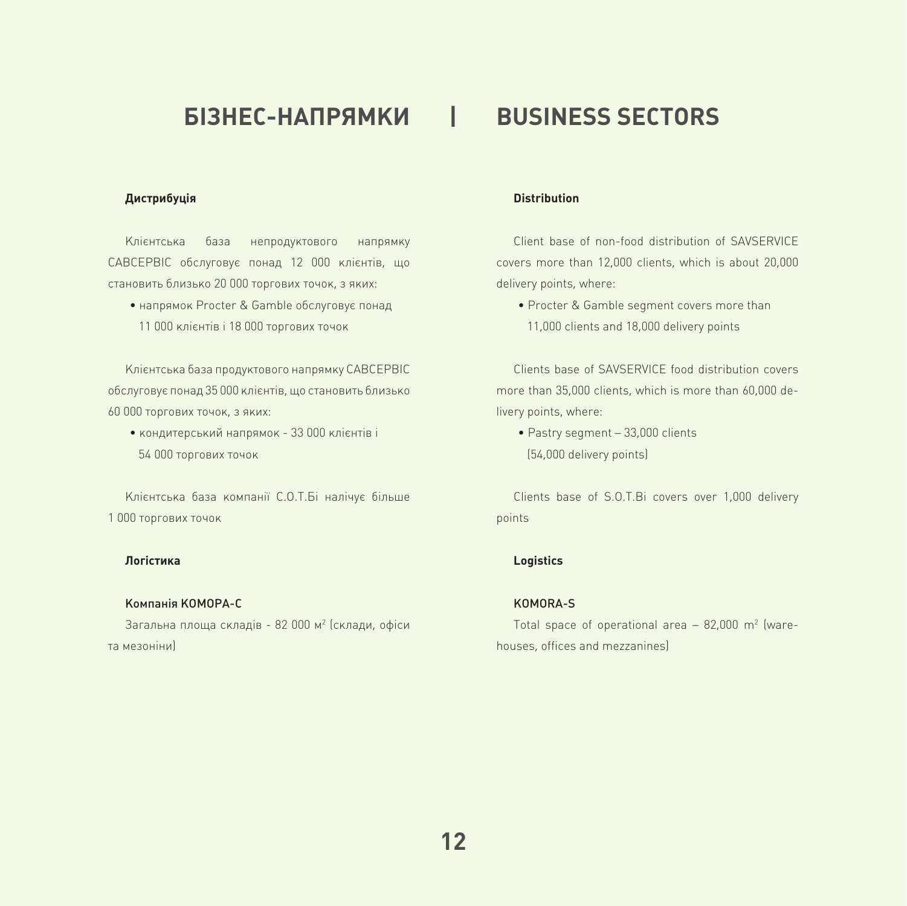## **БІЗНЕС-НАПРЯМКИ BUSINESS SECTORS**

## **Дистрибуція**

Клієнтська база непродуктового напрямку САВСЕРВІС обслуговує понад 12 000 клієнтів, що становить близько 20 000 торгових точок, з яких:

• напрямок Procter & Gamble обслуговує понад 11 000 клієнтів і 18 000 торгових точок

Клієнтська база продуктового напрямку САВСЕРВІС обслуговує понад 35 000 клієнтів, що становить близько 60 000 торгових точок, з яких:

• кондитерський напрямок - 33 000 клієнтів і 54 000 торгових точок

Клієнтська база компанії С.О.Т.Бі налічує більше 1 000 торгових точок

## **Логістика**

## Компанія КОМОРА-С Загальна площа складів - 82 000 м2 (склади, офіси

та мезоніни)

## **Distribution**

**|**

Client base of non-food distribution of SAVSERVICE covers more than 12,000 clients, which is about 20,000 delivery points, where:

• Procter & Gamble segment covers more than 11,000 clients and 18,000 delivery points

Clients base of SAVSERVICE food distribution covers more than 35,000 clients, which is more than 60,000 delivery points, where:

• Pastry segment – 33,000 clients (54,000 delivery points)

Clients base of S.О.Т.Bi covers over 1,000 delivery points

## **Logistics**

## KOMORA-S

Total space of operational area  $-$  82,000 m<sup>2</sup> (warehouses, offices and mezzanines)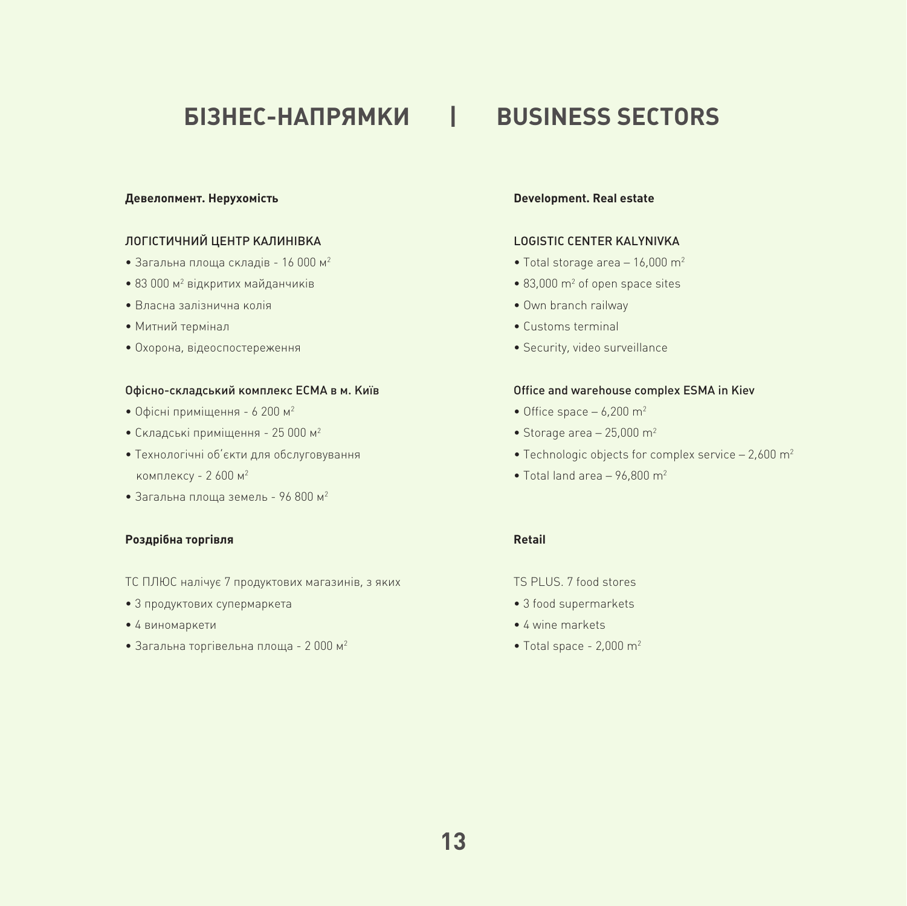## **БІЗНЕС-НАПРЯМКИ BUSINESS SECTORS**

## **Девелопмент. Нерухомість**

## ЛОГІСТИЧНИЙ ЦЕНТР КАЛИНІВКА

- Загальна площа складів 16 000 м<sup>2</sup>
- 83 000 м<sup>2</sup> відкритих майданчиків
- Власна залізнична колія
- Митний термінал
- Охорона, відеоспостереження

### Офісно-складський комплекс ЕСМА в м. Київ

- Офісні приміщення 6 200 м<sup>2</sup>
- Складські приміщення 25 000 м<sup>2</sup>
- Технологічні об'єкти для обслуговування комплексу - 2 600 м2
- Загальна площа земель 96 800 м<sup>2</sup>

### **Роздрібна торгівля**

ТС ПЛЮС налічує 7 продуктових магазинів, з яких

- 3 продуктових супермаркета
- 4 виномаркети
- Загальна торгівельна площа 2 000 м<sup>2</sup>

### **Development. Real estate**

## LOGISTIC CENTER KALYNIVKA

- Total storage area  $-16,000$  m<sup>2</sup>
- 83,000 m<sup>2</sup> of open space sites
- Own branch railway
- Customs terminal
- Security, video surveillance

## Office and warehouse complex ESМА in Kiev

- Office space  $-6,200$  m<sup>2</sup>
- Storage area  $-25,000$  m<sup>2</sup>
- Technologic objects for complex service  $-2,600$  m<sup>2</sup>
- Total land area  $-96,800$  m<sup>2</sup>

## **Retail**

TS PLUS. 7 food stores

- 3 food supermarkets
- 4 wine markets
- $\bullet$  Total space 2,000 m<sup>2</sup>

**|**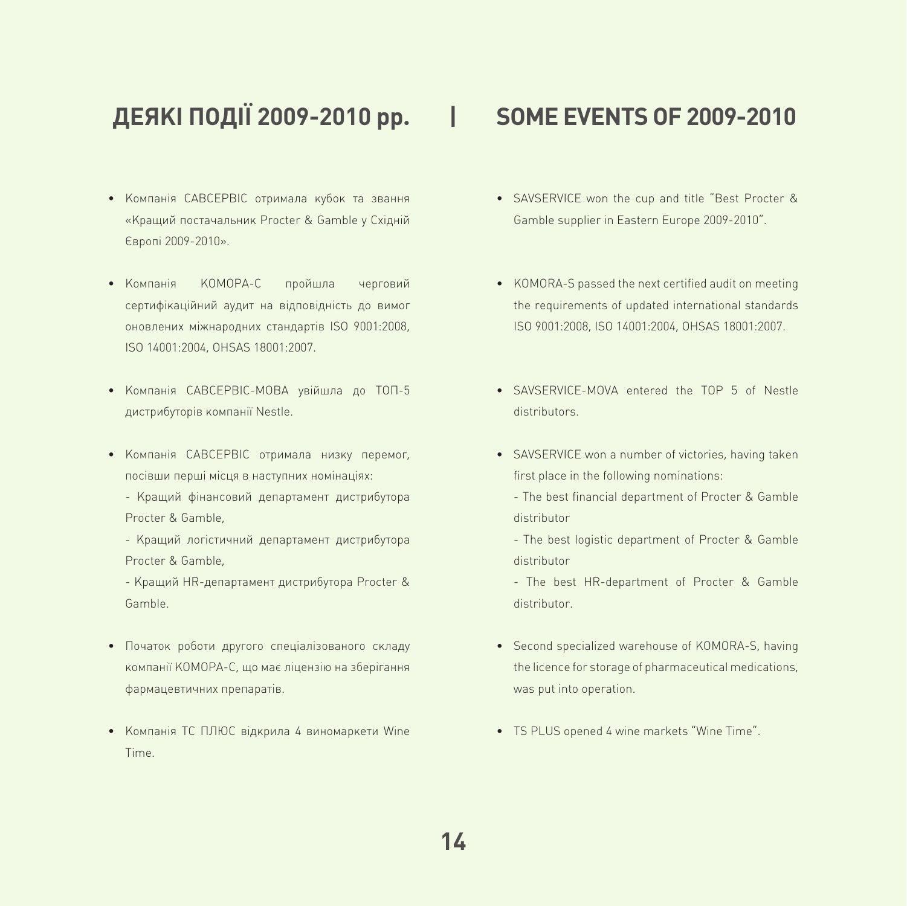## **ДЕЯКІ ПОДІЇ 2009-2010 рр. SOME EVENTS OF 2009-2010**

- Компанія САВСЕРВІС отримала кубок та звання «Кращий постачальник Procter & Gamble у Східній Європі 2009-2010».
- Компанія КОМОРА-С пройшла черговий сертифікаційний аудит на відповідність до вимог оновлених міжнародних стандартів ISO 9001:2008, ISO 14001:2004, OHSAS 18001:2007.
- Компанія САВСЕРВІС-МОВА увійшла до ТОП-5 дистрибуторів компанії Nestle.
- Компанія САВСЕРВІС отримала низку перемог, посівши перші місця в наступних номінаціях:
	- Кращий фінансовий департамент дистрибутора Procter & Gamble,
	- Кращий логістичний департамент дистрибутора Procter & Gamble,
	- Кращий HR-департамент дистрибутора Procter & Gamble.
- Початок роботи другого спеціалізованого складу компанії КОМОРА-С, що має ліцензію на зберігання фармацевтичних препаратів.
- Компанія ТС ПЛЮС відкрила 4 виномаркети Wine Time.

- SAVSERVICE won the cup and title "Best Procter & Gamble supplier in Eastern Europe 2009-2010".
- KOMORA-S passed the next certified audit on meeting the requirements of updated international standards ISO 9001:2008, ISO 14001:2004, OHSAS 18001:2007.
- SAVSERVICE-MOVA entered the TOP 5 of Nestle distributors.
- SAVSERVICE won a number of victories, having taken first place in the following nominations:
	- The best financial department of Procter & Gamble distributor
	- The best logistic department of Procter & Gamble distributor
	- The best HR-department of Procter & Gamble distributor.
- Second specialized warehouse of KOMORA-S, having the licence for storage of pharmaceutical medications, was put into operation.
- TS PLUS opened 4 wine markets "Wine Time".

**|**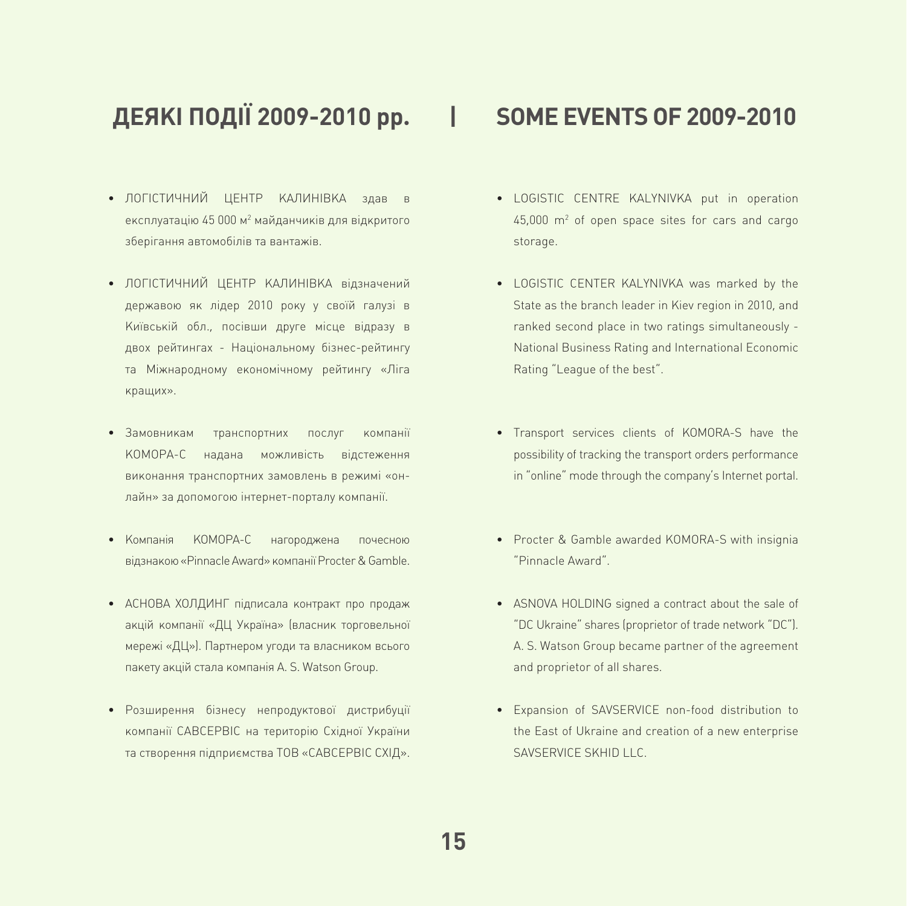## **ДЕЯКІ ПОДІЇ 2009-2010 рр. | SOME EVENTS OF 2009-2010**

- ЛОГІСТИЧНИЙ ЦЕНТР КАЛИНІВКА здав в експлуатацію 45 000 м<sup>2</sup> майданчиків для відкритого зберігання автомобілів та вантажів.
- ЛОГІСТИЧНИЙ ЦЕНТР КАЛИНІВКА відзначений державою як лідер 2010 року у своїй галузі в Київській обл., посівши друге місце відразу в двох рейтингах - Національному бізнес-рейтингу та Міжнародному економічному рейтингу «Ліга кращих».
- Замовникам транспортних послуг компанії КОМОРА-С надана можливість відстеження виконання транспортних замовлень в режимі «онлайн» за допомогою інтернет-порталу компанії.
- Компанія КОМОРА-С нагороджена почесною відзнакою «Pinnacle Award» компанії Procter & Gamble.
- АСНОВА ХОЛДИНГ підписала контракт про продаж акцій компанії «ДЦ Україна» (власник торговельної мережі «ДЦ»). Партнером угоди та власником всього пакету акцій стала компанія A. S. Watson Group.
- Розширення бізнесу непродуктової дистрибуції компанії САВСЕРВІС на територію Східної України та створення підприємства ТОВ «САВСЕРВІС СХІД».

- LOGISTIC CENTRE KALYNIVKA put in operation  $45,000$  m<sup>2</sup> of open space sites for cars and cargo storage.
- LOGISTIC CENTER KALYNIVKA was marked by the State as the branch leader in Kiev region in 2010, and ranked second place in two ratings simultaneously - National Business Rating and International Economic Rating "League of the best".
- Transport services clients of KOMORA-S have the possibility of tracking the transport orders performance in "online" mode through the company's Internet portal.
- Procter & Gamble awarded KOMORA-S with insignia "Pinnacle Award".
- ASNOVA HOLDING signed a contract about the sale of "DC Ukraine" shares (proprietor of trade network "DC"). A. S. Watson Group became partner of the agreement and proprietor of all shares.
- Expansion of SAVSERVICE non-food distribution to the East of Ukraine and creation of a new enterprise SAVSERVICE SKHID LLC.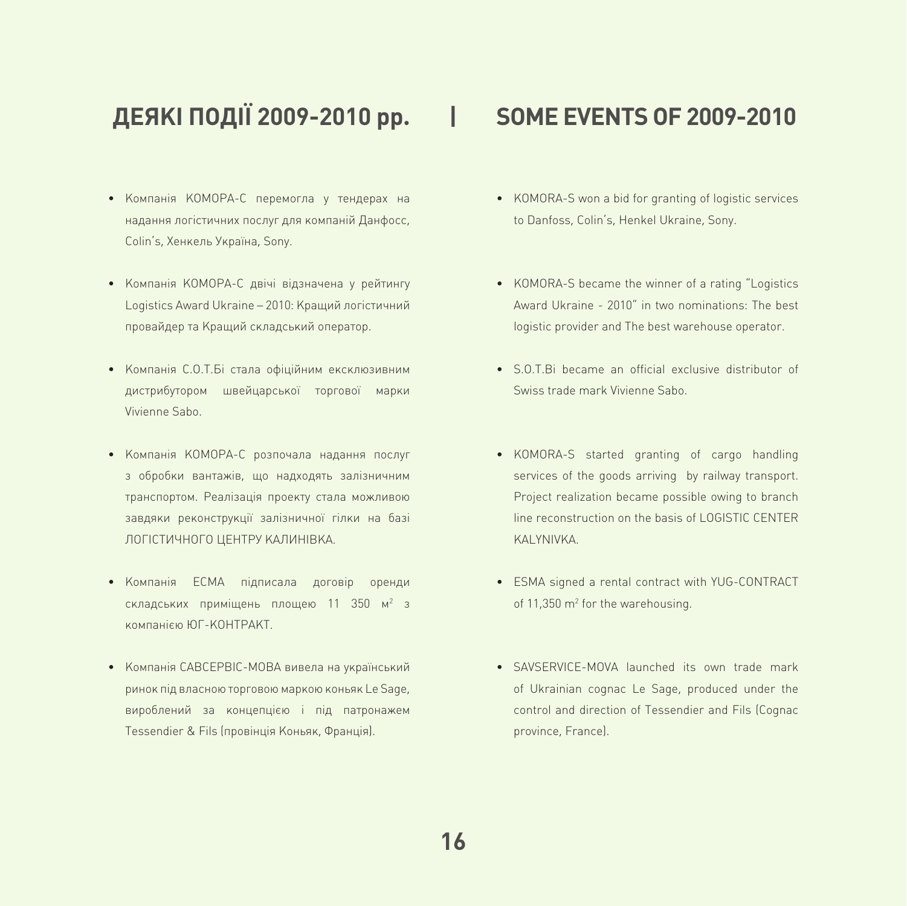## **ДЕЯКІ ПОДІЇ 2009-2010 рр. SOME EVENTS OF 2009-2010**

- Компанія КОМОРА-С перемогла у тендерах на надання логістичних послуг для компаній Данфосс, Colin's, Хенкель Україна, Sony.
- Компанія КОМОРА-С двічі відзначена у рейтингу Logistics Award Ukraine – 2010: Кращий логістичний провайдер та Кращий складський оператор.
- Компанія С.О.Т.Бі стала офіційним ексклюзивним дистрибутором швейцарської торгової марки Vivienne Sabo.
- Компанія КОМОРА-С розпочала надання послуг з обробки вантажів, що надходять залізничним транспортом. Реалізація проекту стала можливою завдяки реконструкції залізничної гілки на базі ЛОГІСТИЧНОГО ЦЕНТРУ КАЛИНІВКА.
- Компанія ЕСМА підписала договір оренди складських приміщень площею 11 350 м<sup>2</sup> з компанією ЮГ-КОНТРАКТ.
- Компанія САВСЕРВІС-МОВА вивела на український ринок під власною торговою маркою коньяк Le Sage, вироблений за концепцією і під патронажем Tessendier & Fils (провінція Коньяк, Франція).

- KOMORA-S won a bid for granting of logistic services to Danfoss, Colin's, Henkel Ukraine, Sony.
- KOMORA-S became the winner of a rating "Logistics Award Ukraine - 2010" in two nominations: The best logistic provider and The best warehouse operator.
- S.O.T.Bi became an official exclusive distributor of Swiss trade mark Vivienne Sabo.
- KOMORA-S started granting of cargo handling services of the goods arriving by railway transport. Project realization became possible owing to branch line reconstruction on the basis of LOGISTIC CENTER KALYNIVKA.
- ESMA signed a rental contract with YUG-CONTRACT of 11,350 m<sup>2</sup> for the warehousing.
- SAVSERVICE-MOVA launched its own trade mark of Ukrainian cognac Le Sage, produced under the control and direction of Tessendier and Fils (Cognac province, France).

**|**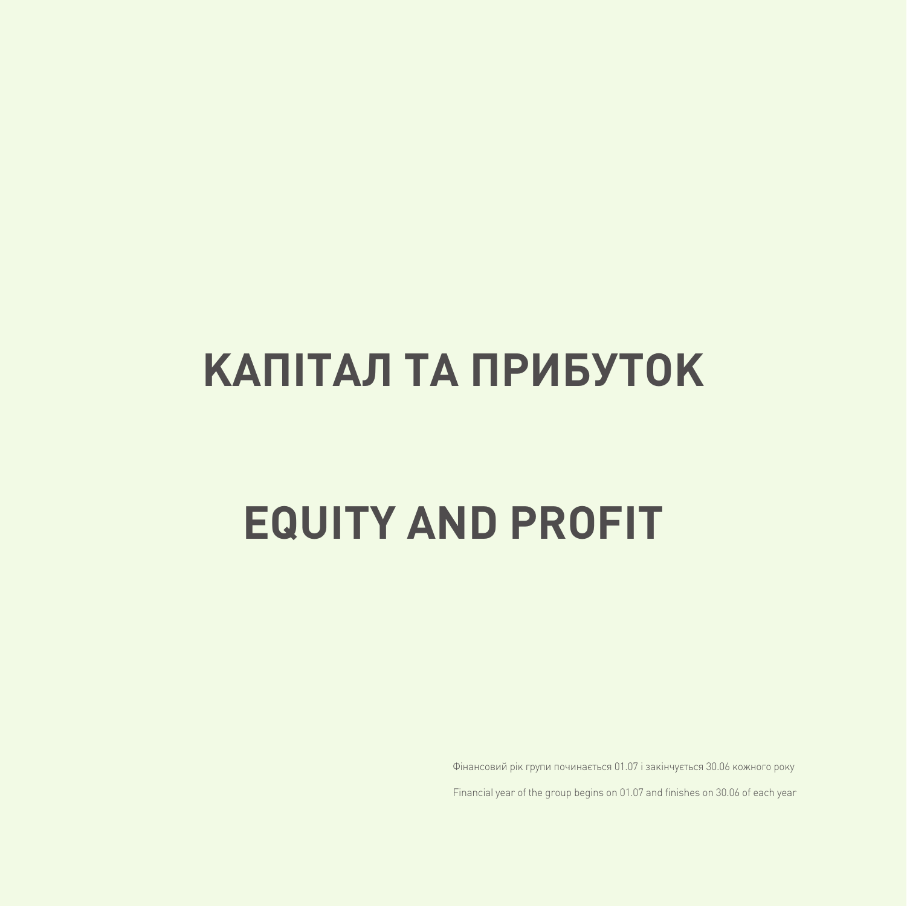# **КАПІТАЛ ТА ПРИБУТОК**

# **EQUITY AND PROFIT**

Фінансовий рік групи починається 01.07 і закінчується 30.06 кожного року Financial year of the group begins on 01.07 and finishes on 30.06 of each year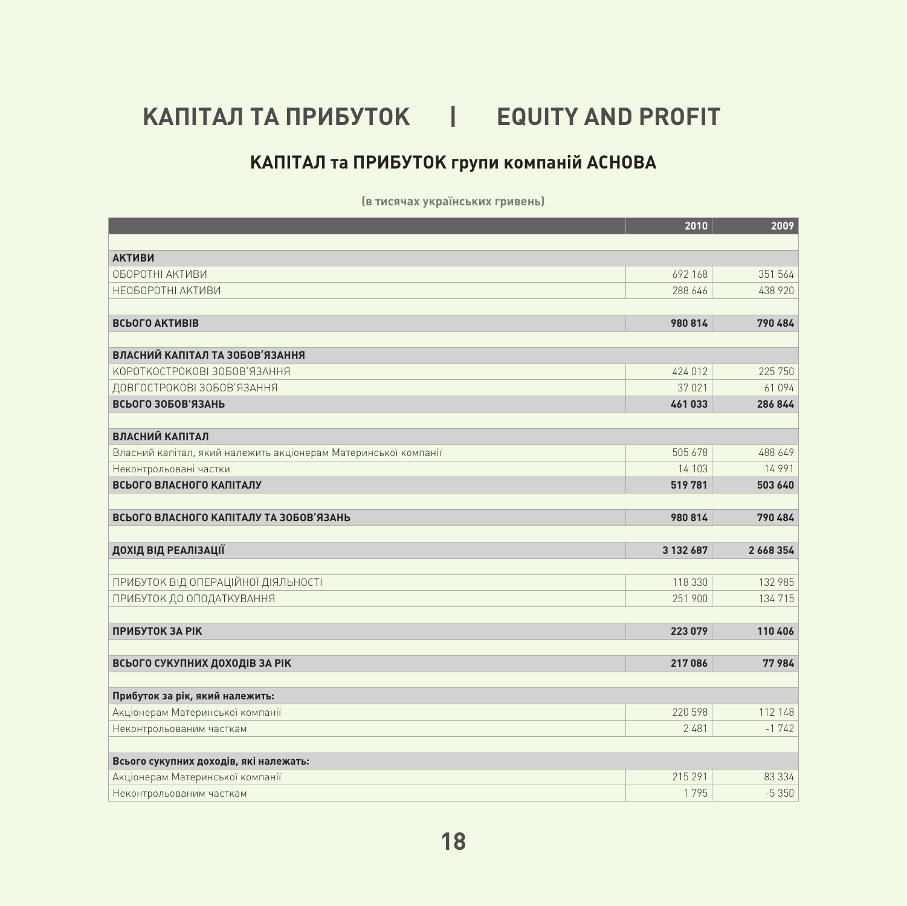## **| КАПІТАЛ ТА ПРИБУТОК EQUITY AND PROFIT**

## **КАПІТАЛ та ПРИБУТОК групи компаній АСНОВА**

**(в тисячах українських гривень)**

|                                                                 | 2010      | 2009      |
|-----------------------------------------------------------------|-----------|-----------|
|                                                                 |           |           |
| <b>АКТИВИ</b>                                                   |           |           |
| ОБОРОТНІ АКТИВИ                                                 | 692 168   | 351 564   |
| НЕОБОРОТНІ АКТИВИ                                               | 288 646   | 438 920   |
|                                                                 |           |           |
| <b>ВСЬОГО АКТИВІВ</b>                                           | 980814    | 790 484   |
|                                                                 |           |           |
| ВЛАСНИЙ КАПІТАЛ ТА ЗОБОВ'ЯЗАННЯ                                 |           |           |
| КОРОТКОСТРОКОВІ ЗОБОВ'ЯЗАННЯ                                    | 424 012   | 225 750   |
| ДОВГОСТРОКОВІ ЗОБОВ'ЯЗАННЯ                                      | 37 0 21   | 61094     |
| ВСЬОГО ЗОБОВ'ЯЗАНЬ                                              | 461033    | 286 844   |
|                                                                 |           |           |
| ВЛАСНИЙ КАПІТАЛ                                                 |           |           |
| Власний капітал, який належить акціонерам Материнської компанії | 505 678   | 488 649   |
| Неконтрольовані частки                                          | 14 103    | 14 9 9 1  |
| ВСЬОГО ВЛАСНОГО КАПІТАЛУ                                        | 519781    | 503 640   |
|                                                                 |           |           |
| ВСЬОГО ВЛАСНОГО КАПІТАЛУ ТА ЗОБОВ'ЯЗАНЬ                         | 980814    | 790 484   |
|                                                                 |           |           |
| ДОХІД ВІД РЕАЛІЗАЦІЇ                                            | 3 132 687 | 2 668 354 |
|                                                                 |           |           |
| ПРИБУТОК ВІД ОПЕРАЦІЙНОЇ ДІЯЛЬНОСТІ                             | 118 330   | 132 985   |
| ПРИБУТОК ДО ОПОДАТКУВАННЯ                                       | 251 900   | 134 715   |
| ПРИБУТОК ЗА РІК                                                 | 223079    | 110 406   |
|                                                                 |           |           |
| ВСЬОГО СУКУПНИХ ДОХОДІВ ЗА РІК                                  | 217086    | 77984     |
|                                                                 |           |           |
| Прибуток за рік, який належить:                                 |           |           |
| Акціонерам Материнської компанії                                | 220 598   | 112 148   |
| Неконтрольованим часткам                                        | 2 4 8 1   | $-1742$   |
|                                                                 |           |           |
| Всього сукупних доходів, які належать:                          |           |           |
| Акціонерам Материнської компанії                                | 215 291   | 83 334    |
| Неконтрольованим часткам                                        | 1795      | $-5350$   |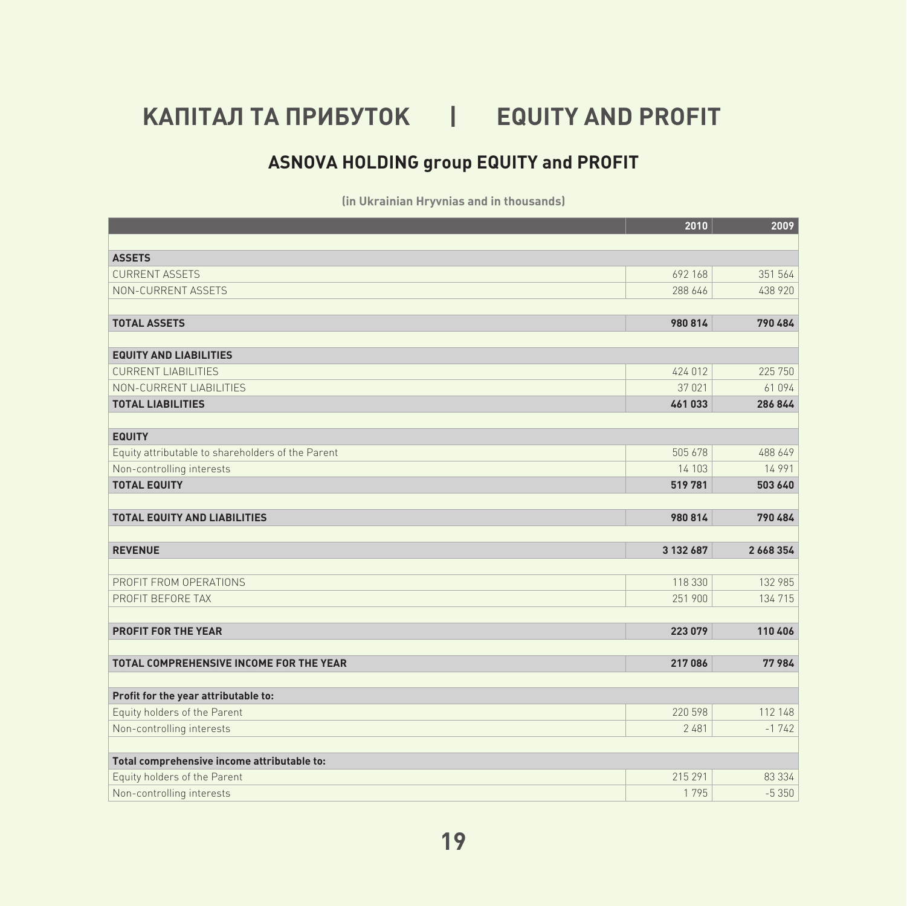## **| КАПІТАЛ ТА ПРИБУТОК EQUITY AND PROFIT**

## **ASNOVA HOLDING group EQUITY and PROFIT**

**(in Ukrainian Hryvnias and in thousands)**

|                                                   | 2010      | 2009      |
|---------------------------------------------------|-----------|-----------|
|                                                   |           |           |
| <b>ASSETS</b>                                     |           |           |
| <b>CURRENT ASSETS</b>                             | 692 168   | 351 564   |
| NON-CURRENT ASSETS                                | 288 646   | 438 920   |
|                                                   |           |           |
| <b>TOTAL ASSETS</b>                               | 980814    | 790 484   |
|                                                   |           |           |
| <b>EQUITY AND LIABILITIES</b>                     |           |           |
| <b>CURRENT LIABILITIES</b>                        | 424 012   | 225 750   |
| NON-CURRENT LIABILITIES                           | 37 0 21   | 61094     |
| <b>TOTAL LIABILITIES</b>                          | 461033    | 286 844   |
|                                                   |           |           |
| <b>EQUITY</b>                                     |           |           |
| Equity attributable to shareholders of the Parent | 505 678   | 488 649   |
| Non-controlling interests                         | 14 103    | 14 9 9 1  |
| <b>TOTAL EQUITY</b>                               | 519781    | 503 640   |
|                                                   |           |           |
| <b>TOTAL EQUITY AND LIABILITIES</b>               | 980814    | 790 484   |
|                                                   |           |           |
| <b>REVENUE</b>                                    | 3 132 687 | 2 668 354 |
|                                                   |           |           |
| PROFIT FROM OPERATIONS                            | 118 330   | 132 985   |
| PROFIT BEFORE TAX                                 | 251 900   | 134 715   |
|                                                   |           |           |
| PROFIT FOR THE YEAR                               | 223079    | 110 406   |
|                                                   |           |           |
| TOTAL COMPREHENSIVE INCOME FOR THE YEAR           | 217086    | 77984     |
|                                                   |           |           |
| Profit for the year attributable to:              |           |           |
| Equity holders of the Parent                      | 220 598   | 112 148   |
| Non-controlling interests                         | 2 4 8 1   | $-1742$   |
|                                                   |           |           |
| Total comprehensive income attributable to:       |           |           |
| Equity holders of the Parent                      | 215 291   | 83 334    |
| Non-controlling interests                         | 1795      | $-5350$   |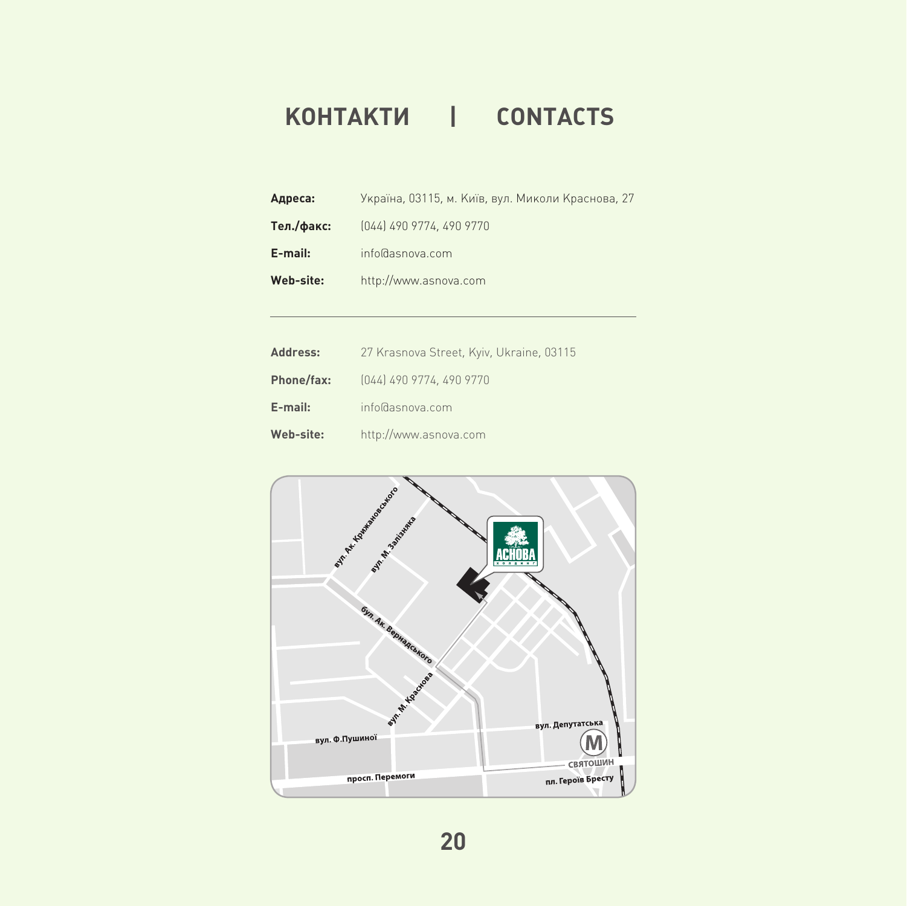## **КОНТАКТИ | CONTACTS**

| Адреса:    | Україна, 03115, м. Київ, вул. Миколи Краснова, 27 |
|------------|---------------------------------------------------|
| Тел./факс: | (044) 490 9774, 490 9770                          |
| E-mail:    | info@asnova.com                                   |
| Web-site:  | http://www.asnova.com                             |

| Address:   | 27 Krasnova Street, Kyiv, Ukraine, 03115 |
|------------|------------------------------------------|
| Phone/fax: | (044) 490 9774, 490 9770                 |
| E-mail:    | info@asnova.com                          |
| Web-site:  | http://www.asnova.com                    |